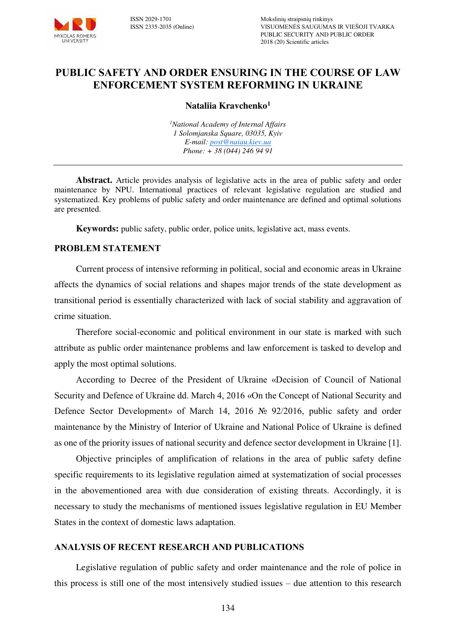

# **PUBLIC SAFETY AND ORDER ENSURING IN THE COURSE OF LAW ENFORCEMENT SYSTEM REFORMING IN UKRAINE**

## **Nataliia Kravchenko<sup>1</sup>**

*<sup>1</sup>National Academy of Internal Affairs 1 Solomjanska Square, 03035, Kyiv E-mail: [post@naiau.kiev.ua](mailto:post@naiau.kiev.ua)  Phone: + 38 (044) 246 94 91* 

**Abstract.** Article provides analysis of legislative acts in the area of public safety and order maintenance by NPU. International practices of relevant legislative regulation are studied and systematized. Key problems of public safety and order maintenance are defined and optimal solutions are presented.

**Keywords:** public safety, public order, police units, legislative act, mass events.

## **PROBLEM STATEMENT**

Current process of intensive reforming in political, social and economic areas in Ukraine affects the dynamics of social relations and shapes major trends of the state development as transitional period is essentially characterized with lack of social stability and aggravation of crime situation.

Therefore social-economic and political environment in our state is marked with such attribute as public order maintenance problems and law enforcement is tasked to develop and apply the most optimal solutions.

According to Decree of the President of Ukraine «Decision of Council of National Security and Defence of Ukraine dd. March 4, 2016 «On the Concept of National Security and Defence Sector Development» of March 14, 2016 № 92/2016, public safety and order maintenance by the Ministry of Interior of Ukraine and National Police of Ukraine is defined as one of the priority issues of national security and defence sector development in Ukraine [1].

Objective principles of amplification of relations in the area of public safety define specific requirements to its legislative regulation aimed at systematization of social processes in the abovementioned area with due consideration of existing threats. Accordingly, it is necessary to study the mechanisms of mentioned issues legislative regulation in EU Member States in the context of domestic laws adaptation.

### **АNALYSIS OF RECENT RESEARCH AND PUBLICATIONS**

Legislative regulation of public safety and order maintenance and the role of police in this process is still one of the most intensively studied issues – due attention to this research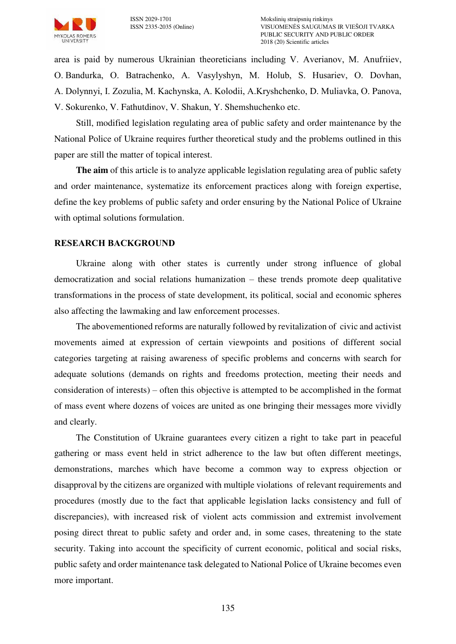

area is paid by numerous Ukrainian theoreticians including V. Averianov, М. Anufriiev, О. Bandurka, О. Batrachenko, А. Vasylyshyn, М. Holub, S. Husariev, О. Dovhan, А. Dolynnyi, І. Zozulia, М. Kachynska, А. Kolodii, А.Kryshchenko, D. Muliavka, О. Panova, V. Sokurenko, V. Fathutdinov, V. Shakun, Y. Shemshuchenko etc.

Still, modified legislation regulating area of public safety and order maintenance by the National Police of Ukraine requires further theoretical study and the problems outlined in this paper are still the matter of topical interest.

**The aim** of this article is to analyze applicable legislation regulating area of public safety and order maintenance, systematize its enforcement practices along with foreign expertise, define the key problems of public safety and order ensuring by the National Police of Ukraine with optimal solutions formulation.

## **RESEARCH BACKGROUND**

Ukraine along with other states is currently under strong influence of global democratization and social relations humanization – these trends promote deep qualitative transformations in the process of state development, its political, social and economic spheres also affecting the lawmaking and law enforcement processes.

The abovementioned reforms are naturally followed by revitalization of civic and activist movements aimed at expression of certain viewpoints and positions of different social categories targeting at raising awareness of specific problems and concerns with search for adequate solutions (demands on rights and freedoms protection, meeting their needs and consideration of interests) – often this objective is attempted to be accomplished in the format of mass event where dozens of voices are united as one bringing their messages more vividly and clearly.

The Constitution of Ukraine guarantees every citizen a right to take part in peaceful gathering or mass event held in strict adherence to the law but often different meetings, demonstrations, marches which have become a common way to express objection or disapproval by the citizens are organized with multiple violations of relevant requirements and procedures (mostly due to the fact that applicable legislation lacks consistency and full of discrepancies), with increased risk of violent acts commission and extremist involvement posing direct threat to public safety and order and, in some cases, threatening to the state security. Taking into account the specificity of current economic, political and social risks, public safety and order maintenance task delegated to National Police of Ukraine becomes even more important.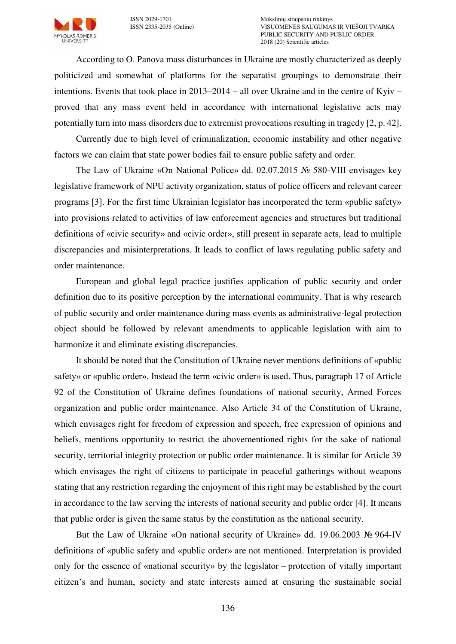

According to О. Panova mass disturbances in Ukraine are mostly characterized as deeply politicized and somewhat of platforms for the separatist groupings to demonstrate their intentions. Events that took place in 2013–2014 – all over Ukraine and in the centre of Kyiv – proved that any mass event held in accordance with international legislative acts may potentially turn into mass disorders due to extremist provocations resulting in tragedy [2, p. 42].

Currently due to high level of criminalization, economic instability and other negative factors we can claim that state power bodies fail to ensure public safety and order.

The Law of Ukraine «On National Police» dd. 02.07.2015 № 580-VIII envisages key legislative framework of NPU activity organization, status of police officers and relevant career programs [3]. For the first time Ukrainian legislator has incorporated the term «public safety» into provisions related to activities of law enforcement agencies and structures but traditional definitions of «civic security» and «civic order», still present in separate acts, lead to multiple discrepancies and misinterpretations. It leads to conflict of laws regulating public safety and order maintenance.

European and global legal practice justifies application of public security and order definition due to its positive perception by the international community. That is why research of public security and order maintenance during mass events as administrative-legal protection object should be followed by relevant amendments to applicable legislation with aim to harmonize it and eliminate existing discrepancies.

It should be noted that the Constitution of Ukraine never mentions definitions of «public safety» or «public order». Instead the term «civic order» is used. Thus, paragraph 17 of Article 92 of the Constitution of Ukraine defines foundations of national security, Armed Forces organization and public order maintenance. Also Article 34 of the Constitution of Ukraine, which envisages right for freedom of expression and speech, free expression of opinions and beliefs, mentions opportunity to restrict the abovementioned rights for the sake of national security, territorial integrity protection or public order maintenance. It is similar for Article 39 which envisages the right of citizens to participate in peaceful gatherings without weapons stating that any restriction regarding the enjoyment of this right may be established by the court in accordance to the law serving the interests of national security and public order [4]. It means that public order is given the same status by the constitution as the national security.

But the Law of Ukraine «On national security of Ukraine» dd. 19.06.2003 № 964-IV definitions of «public safety and «public order» are not mentioned. Interpretation is provided only for the essence of «national security» by the legislator – protection of vitally important citizen's and human, society and state interests aimed at ensuring the sustainable social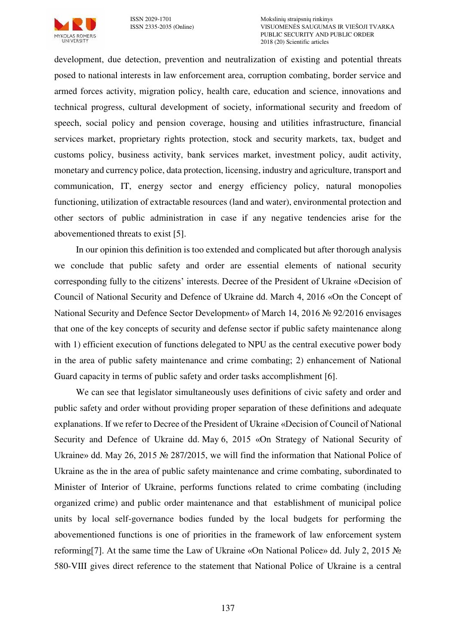

ISSN 2029-1701 Mokslinių straipsnių rinkinys VISUOMENĖS SAUGUMAS IR VIEŠOJI TVARKA PUBLIC SECURITY AND PUBLIC ORDER 2018 (20) Scientific articles

development, due detection, prevention and neutralization of existing and potential threats posed to national interests in law enforcement area, corruption combating, border service and armed forces activity, migration policy, health care, education and science, innovations and technical progress, cultural development of society, informational security and freedom of speech, social policy and pension coverage, housing and utilities infrastructure, financial services market, proprietary rights protection, stock and security markets, tax, budget and customs policy, business activity, bank services market, investment policy, audit activity, monetary and currency police, data protection, licensing, industry and agriculture, transport and communication, IT, energy sector and energy efficiency policy, natural monopolies functioning, utilization of extractable resources (land and water), environmental protection and other sectors of public administration in case if any negative tendencies arise for the abovementioned threats to exist [5].

In our opinion this definition is too extended and complicated but after thorough analysis we conclude that public safety and order are essential elements of national security corresponding fully to the citizens' interests. Decree of the President of Ukraine «Decision of Council of National Security and Defence of Ukraine dd. March 4, 2016 «On the Concept of National Security and Defence Sector Development» of March 14, 2016 № 92/2016 envisages that one of the key concepts of security and defense sector if public safety maintenance along with 1) efficient execution of functions delegated to NPU as the central executive power body in the area of public safety maintenance and crime combating; 2) enhancement of National Guard capacity in terms of public safety and order tasks accomplishment [6].

We can see that legislator simultaneously uses definitions of civic safety and order and public safety and order without providing proper separation of these definitions and adequate explanations. If we refer to Decree of the President of Ukraine «Decision of Council of National Security and Defence of Ukraine dd. May 6, 2015 «On Strategy of National Security of Ukraine» dd. May 26, 2015 № 287/2015, we will find the information that National Police of Ukraine as the in the area of public safety maintenance and crime combating, subordinated to Minister of Interior of Ukraine, performs functions related to crime combating (including organized crime) and public order maintenance and that establishment of municipal police units by local self-governance bodies funded by the local budgets for performing the abovementioned functions is one of priorities in the framework of law enforcement system reforming[7]. At the same time the Law of Ukraine «On National Police» dd. July 2, 2015 № 580-VIII gives direct reference to the statement that National Police of Ukraine is a central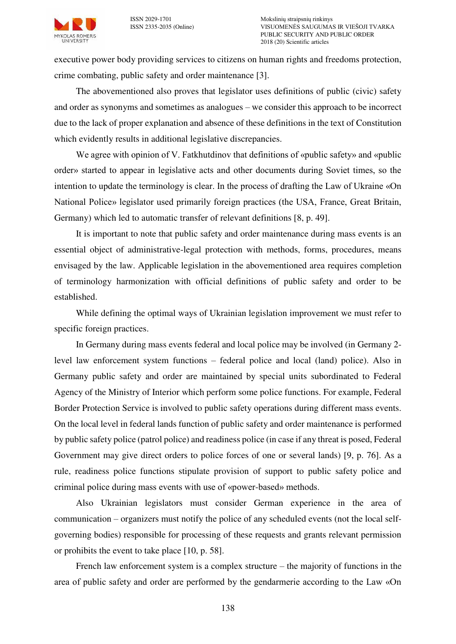

executive power body providing services to citizens on human rights and freedoms protection, crime combating, public safety and order maintenance [3].

The abovementioned also proves that legislator uses definitions of public (civic) safety and order as synonyms and sometimes as analogues – we consider this approach to be incorrect due to the lack of proper explanation and absence of these definitions in the text of Constitution which evidently results in additional legislative discrepancies.

We agree with opinion of V. Fatkhutdinov that definitions of «public safety» and «public order» started to appear in legislative acts and other documents during Soviet times, so the intention to update the terminology is clear. In the process of drafting the Law of Ukraine «On National Police» legislator used primarily foreign practices (the USA, France, Great Britain, Germany) which led to automatic transfer of relevant definitions [8, p. 49].

It is important to note that public safety and order maintenance during mass events is an essential object of administrative-legal protection with methods, forms, procedures, means envisaged by the law. Applicable legislation in the abovementioned area requires completion of terminology harmonization with official definitions of public safety and order to be established.

While defining the optimal ways of Ukrainian legislation improvement we must refer to specific foreign practices.

In Germany during mass events federal and local police may be involved (in Germany 2 level law enforcement system functions – federal police and local (land) police). Also in Germany public safety and order are maintained by special units subordinated to Federal Agency of the Ministry of Interior which perform some police functions. For example, Federal Border Protection Service is involved to public safety operations during different mass events. On the local level in federal lands function of public safety and order maintenance is performed by public safety police (patrol police) and readiness police (in case if any threat is posed, Federal Government may give direct orders to police forces of one or several lands) [9, p. 76]. As a rule, readiness police functions stipulate provision of support to public safety police and criminal police during mass events with use of «power-based» methods.

Also Ukrainian legislators must consider German experience in the area of communication – organizers must notify the police of any scheduled events (not the local selfgoverning bodies) responsible for processing of these requests and grants relevant permission or prohibits the event to take place [10, p. 58].

French law enforcement system is a complex structure – the majority of functions in the area of public safety and order are performed by the gendarmerie according to the Law «On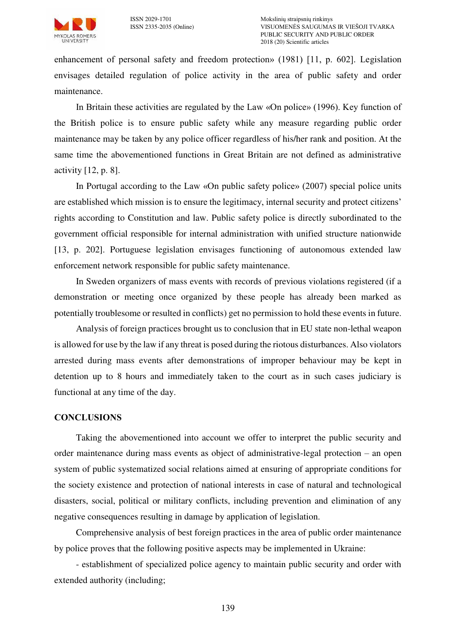enhancement of personal safety and freedom protection» (1981) [11, p. 602]. Legislation envisages detailed regulation of police activity in the area of public safety and order maintenance.

In Britain these activities are regulated by the Law «On police» (1996). Key function of the British police is to ensure public safety while any measure regarding public order maintenance may be taken by any police officer regardless of his/her rank and position. At the same time the abovementioned functions in Great Britain are not defined as administrative activity [12, p. 8].

In Portugal according to the Law «On public safety police» (2007) special police units are established which mission is to ensure the legitimacy, internal security and protect citizens' rights according to Constitution and law. Public safety police is directly subordinated to the government official responsible for internal administration with unified structure nationwide [13, p. 202]. Portuguese legislation envisages functioning of autonomous extended law enforcement network responsible for public safety maintenance.

In Sweden organizers of mass events with records of previous violations registered (if a demonstration or meeting once organized by these people has already been marked as potentially troublesome or resulted in conflicts) get no permission to hold these events in future.

Analysis of foreign practices brought us to conclusion that in EU state non-lethal weapon is allowed for use by the law if any threat is posed during the riotous disturbances. Also violators arrested during mass events after demonstrations of improper behaviour may be kept in detention up to 8 hours and immediately taken to the court as in such cases judiciary is functional at any time of the day.

## **CONCLUSIONS**

Taking the abovementioned into account we offer to interpret the public security and order maintenance during mass events as object of administrative-legal protection – an open system of public systematized social relations aimed at ensuring of appropriate conditions for the society existence and protection of national interests in case of natural and technological disasters, social, political or military conflicts, including prevention and elimination of any negative consequences resulting in damage by application of legislation.

Comprehensive analysis of best foreign practices in the area of public order maintenance by police proves that the following positive aspects may be implemented in Ukraine:

- establishment of specialized police agency to maintain public security and order with extended authority (including;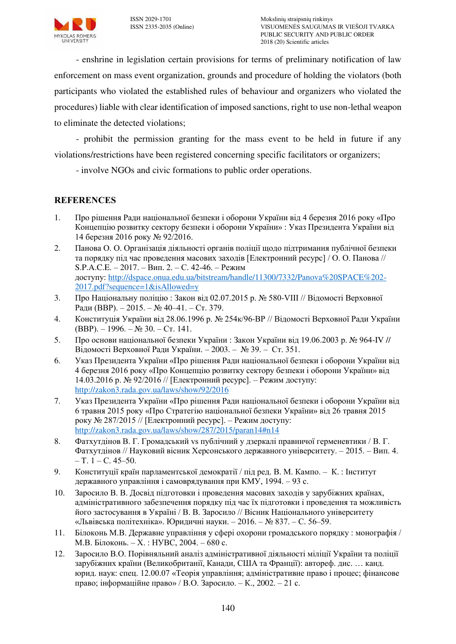

- enshrine in legislation certain provisions for terms of preliminary notification of law enforcement on mass event organization, grounds and procedure of holding the violators (both participants who violated the established rules of behaviour and organizers who violated the procedures) liable with clear identification of imposed sanctions, right to use non-lethal weapon to eliminate the detected violations;

- prohibit the permission granting for the mass event to be held in future if any violations/restrictions have been registered concerning specific facilitators or organizers;

- involve NGOs and civic formations to public order operations.

# **REFERENCES**

- 1. Про рішення Ради національної безпеки і оборони України від 4 березня 2016 року «Про Концепцію розвитку сектору безпеки і оборони України» : Указ Президента України від 14 березня 2016 року № 92/2016.
- 2. Панова О. О. Організація діяльності органів поліції щодо підтримання публічної безпеки та порядку під час проведення масових заходів [Електронний ресурс] / О. О. Панова // S.P.A.C.E. – 2017. – Вип. 2. – С. 42-46. – Режим доступу: [http://dspace.onua.edu.ua/bitstream/handle/11300/7332/Panova%20SPACE%202-](http://dspace.onua.edu.ua/bitstream/handle/11300/7332/Panova%20SPACE%202-2017.pdf?sequence=1&isAllowed=y) [2017.pdf?sequence=1&isAllowed=y](http://dspace.onua.edu.ua/bitstream/handle/11300/7332/Panova%20SPACE%202-2017.pdf?sequence=1&isAllowed=y)
- 3. Про Національну поліцію : Закон від 02.07.2015 р. № 580-VIII // Відомості Верховної Ради (ВВР). – 2015. – № 40–41. – Ст. 379.
- 4. Конституція України від 28.06.1996 р. № 254к/96-ВР // Відомості Верховної Ради України (BBP). – 1996. – № 30. – Ст. 141.
- 5. Про основи національної безпеки України : Закон України від 19.06.2003 р. № 964-IV // Відомості Верховної Ради України. – 2003. – № 39. – Ст. 351.
- 6. Указ Президента України «Про рішення Ради національної безпеки і оборони України від 4 березня 2016 року «Про Концепцію розвитку сектору безпеки і оборони України» від 14.03.2016 р. № 92/2016 // [Електронний ресурс]. – Режим доступу: <http://zakon3.rada.gov.ua/laws/show/92/2016>
- 7. Указ Президента України «Про рішення Ради національної безпеки і оборони України від 6 травня 2015 року «Про Стратегію національної безпеки України» від 26 травня 2015 року № 287/2015 // [Електронний ресурс]. – Режим доступу: <http://zakon3.rada.gov.ua/laws/show/287/2015/paran14#n14>
- 8. Фатхутдінов В. Г. Громадський vs публічний у дзеркалі правничої герменевтики / В. Г. Фатхутдінов // Науковий вісник Херсонського державного університету. – 2015. – Вип. 4. – Т.  $1 - C. 45 - 50$ .
- 9. Конституції країн парламентської демократії / під ред. В. М. Кампо. К. : Інститут державного управління і самоврядування при КМУ, 1994. – 93 с.
- 10. Заросило В. В. Досвід підготовки і проведення масових заходів у зарубіжних країнах, адміністративного забезпечення порядку під час їх підготовки і проведення та можливість його застосування в Україні / В. В. Заросило // Вісник Національного університету «Львівська політехніка». Юридичні науки. – 2016. – № 837. – С. 56–59.
- 11. Білоконь М.В. Державне управління у сфері охорони громадського порядку : монографія / М.В. Білоконь. – X. : НУВС, 2004. – 680 с.
- 12. Заросило В.О. Порівняльний аналіз адміністративної діяльності міліції України та поліції зарубіжних країни (Великобританії, Канади, США та Франції): автореф. дис. … канд. юрид. наук: спец. 12.00.07 «Теорія управління; адміністративне право і процес; фінансове право; інформаційне право» / В.О. Заросило. – К., 2002. – 21 с.